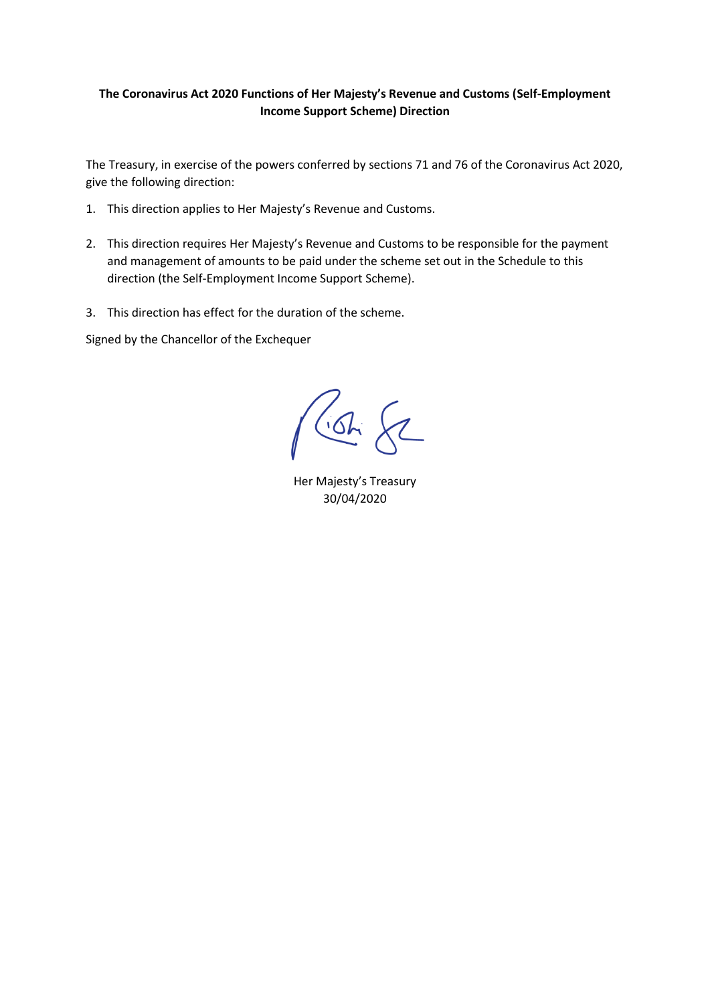# **The Coronavirus Act 2020 Functions of Her Majesty's Revenue and Customs (Self-Employment Income Support Scheme) Direction**

The Treasury, in exercise of the powers conferred by sections 71 and 76 of the Coronavirus Act 2020, give the following direction:

- 1. This direction applies to Her Majesty's Revenue and Customs.
- 2. This direction requires Her Majesty's Revenue and Customs to be responsible for the payment and management of amounts to be paid under the scheme set out in the Schedule to this direction (the Self-Employment Income Support Scheme).
- 3. This direction has effect for the duration of the scheme.

Signed by the Chancellor of the Exchequer

 $\left\{ 2\right\}$  $\sqrt{G}$ 

Her Majesty's Treasury 30/04/2020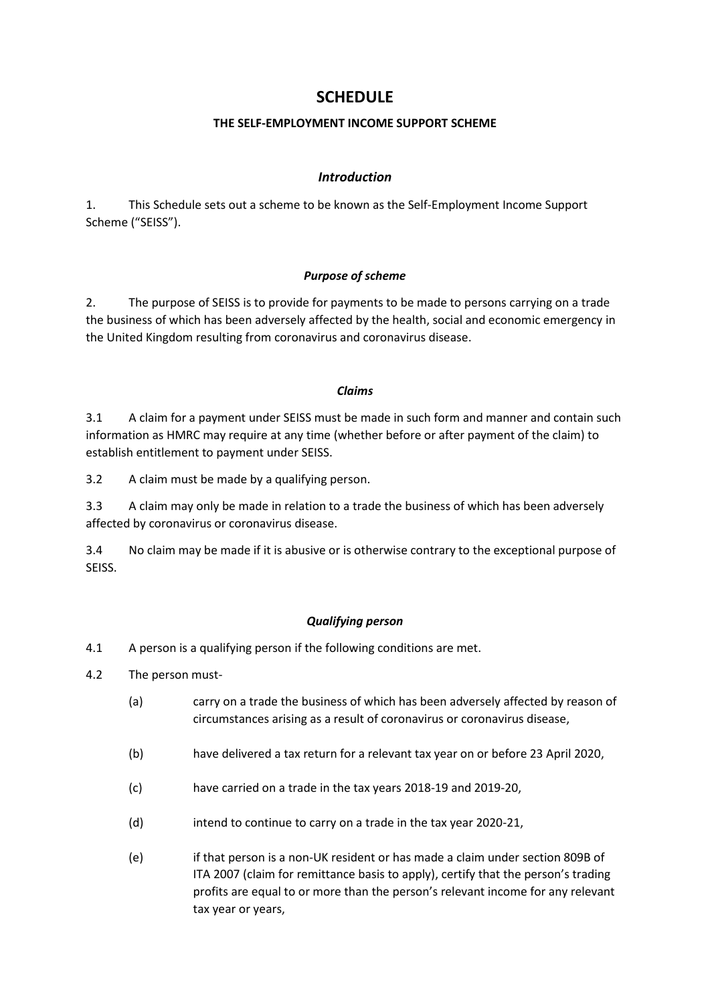# **SCHEDULE**

## **THE SELF-EMPLOYMENT INCOME SUPPORT SCHEME**

## *Introduction*

1. This Schedule sets out a scheme to be known as the Self-Employment Income Support Scheme ("SEISS").

## *Purpose of scheme*

2. The purpose of SEISS is to provide for payments to be made to persons carrying on a trade the business of which has been adversely affected by the health, social and economic emergency in the United Kingdom resulting from coronavirus and coronavirus disease.

#### *Claims*

3.1 A claim for a payment under SEISS must be made in such form and manner and contain such information as HMRC may require at any time (whether before or after payment of the claim) to establish entitlement to payment under SEISS.

3.2 A claim must be made by a qualifying person.

3.3 A claim may only be made in relation to a trade the business of which has been adversely affected by coronavirus or coronavirus disease.

3.4 No claim may be made if it is abusive or is otherwise contrary to the exceptional purpose of SEISS.

# *Qualifying person*

- 4.1 A person is a qualifying person if the following conditions are met.
- 4.2 The person must-
	- (a) carry on a trade the business of which has been adversely affected by reason of circumstances arising as a result of coronavirus or coronavirus disease,
	- (b) have delivered a tax return for a relevant tax year on or before 23 April 2020,
	- (c) have carried on a trade in the tax years 2018-19 and 2019-20,
	- (d) intend to continue to carry on a trade in the tax year 2020-21,
	- (e) if that person is a non-UK resident or has made a claim under section 809B of ITA 2007 (claim for remittance basis to apply), certify that the person's trading profits are equal to or more than the person's relevant income for any relevant tax year or years,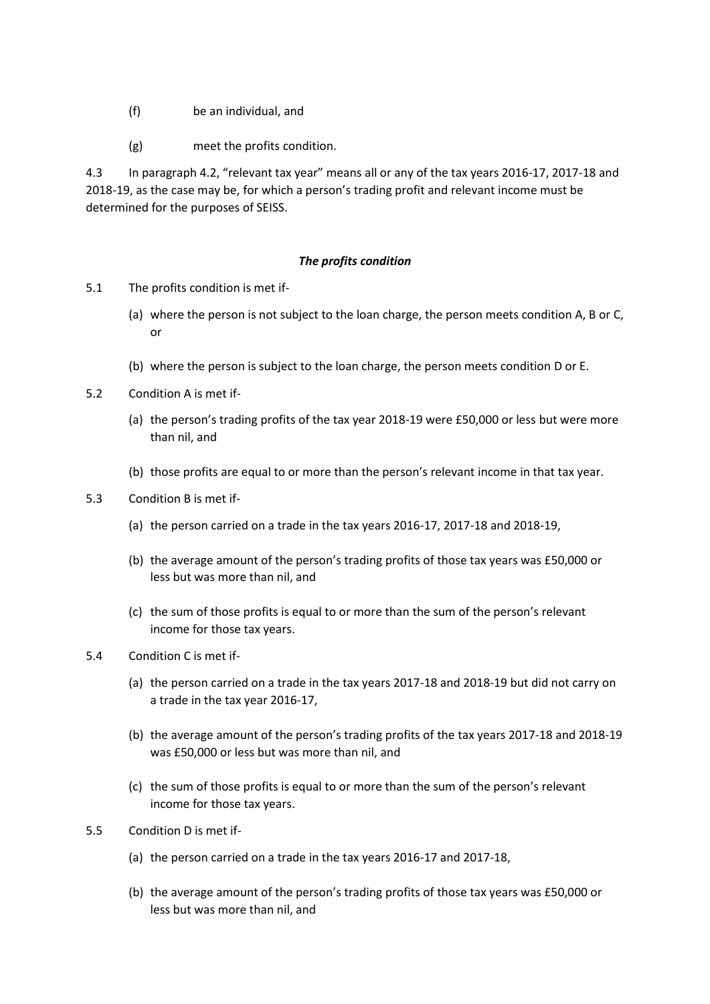- (f) be an individual, and
- (g) meet the profits condition.

4.3 In paragraph 4.2, "relevant tax year" means all or any of the tax years 2016-17, 2017-18 and 2018-19, as the case may be, for which a person's trading profit and relevant income must be determined for the purposes of SEISS.

## *The profits condition*

- 5.1 The profits condition is met if-
	- (a) where the person is not subject to the loan charge, the person meets condition A, B or C, or
	- (b) where the person is subject to the loan charge, the person meets condition D or E.
- 5.2 Condition A is met if-
	- (a) the person's trading profits of the tax year 2018-19 were £50,000 or less but were more than nil, and
	- (b) those profits are equal to or more than the person's relevant income in that tax year.
- 5.3 Condition B is met if-
	- (a) the person carried on a trade in the tax years 2016-17, 2017-18 and 2018-19,
	- (b) the average amount of the person's trading profits of those tax years was £50,000 or less but was more than nil, and
	- (c) the sum of those profits is equal to or more than the sum of the person's relevant income for those tax years.
- 5.4 Condition C is met if-
	- (a) the person carried on a trade in the tax years 2017-18 and 2018-19 but did not carry on a trade in the tax year 2016-17,
	- (b) the average amount of the person's trading profits of the tax years 2017-18 and 2018-19 was £50,000 or less but was more than nil, and
	- (c) the sum of those profits is equal to or more than the sum of the person's relevant income for those tax years.
- 5.5 Condition D is met if-
	- (a) the person carried on a trade in the tax years 2016-17 and 2017-18,
	- (b) the average amount of the person's trading profits of those tax years was £50,000 or less but was more than nil, and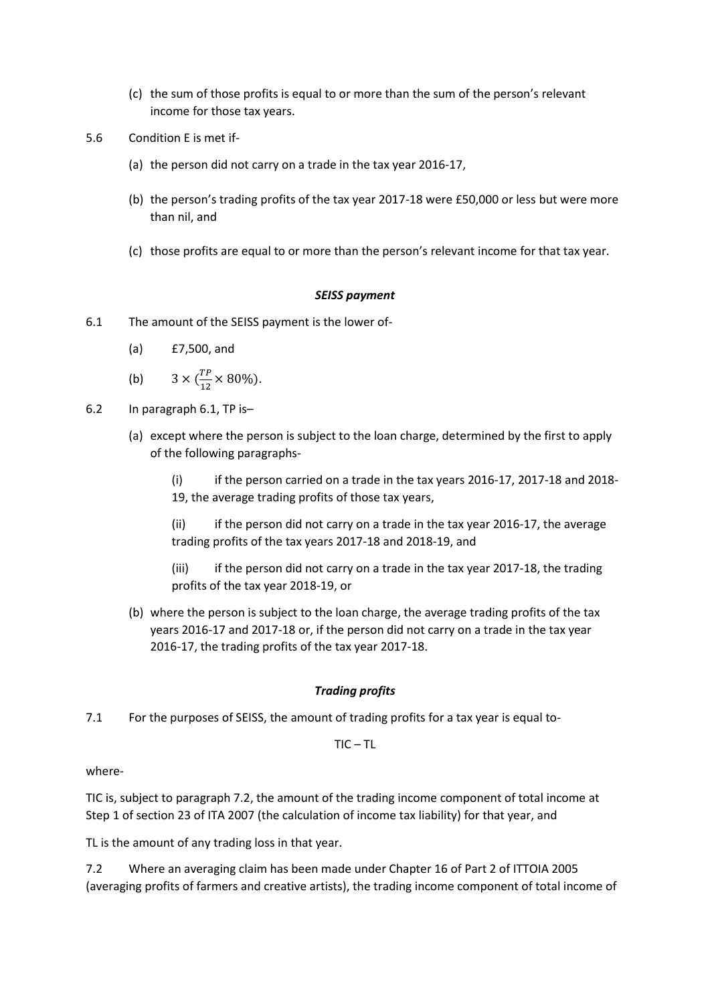- (c) the sum of those profits is equal to or more than the sum of the person's relevant income for those tax years.
- 5.6 Condition E is met if-
	- (a) the person did not carry on a trade in the tax year 2016-17,
	- (b) the person's trading profits of the tax year 2017-18 were £50,000 or less but were more than nil, and
	- (c) those profits are equal to or more than the person's relevant income for that tax year.

#### *SEISS payment*

- 6.1 The amount of the SEISS payment is the lower of-
	- (a) £7,500, and
	- (b)  $3 \times (\frac{TP}{12})$  $\frac{11}{12} \times 80\%$ ).
- 6.2 In paragraph 6.1, TP is–
	- (a) except where the person is subject to the loan charge, determined by the first to apply of the following paragraphs-
		- (i) if the person carried on a trade in the tax years 2016-17, 2017-18 and 2018- 19, the average trading profits of those tax years,
		- (ii) if the person did not carry on a trade in the tax year 2016-17, the average trading profits of the tax years 2017-18 and 2018-19, and
		- (iii) if the person did not carry on a trade in the tax year 2017-18, the trading profits of the tax year 2018-19, or
	- (b) where the person is subject to the loan charge, the average trading profits of the tax years 2016-17 and 2017-18 or, if the person did not carry on a trade in the tax year 2016-17, the trading profits of the tax year 2017-18.

#### *Trading profits*

7.1 For the purposes of SEISS, the amount of trading profits for a tax year is equal to-

 $TIC - TL$ 

where-

TIC is, subject to paragraph 7.2, the amount of the trading income component of total income at Step 1 of section 23 of ITA 2007 (the calculation of income tax liability) for that year, and

TL is the amount of any trading loss in that year.

7.2 Where an averaging claim has been made under Chapter 16 of Part 2 of ITTOIA 2005 (averaging profits of farmers and creative artists), the trading income component of total income of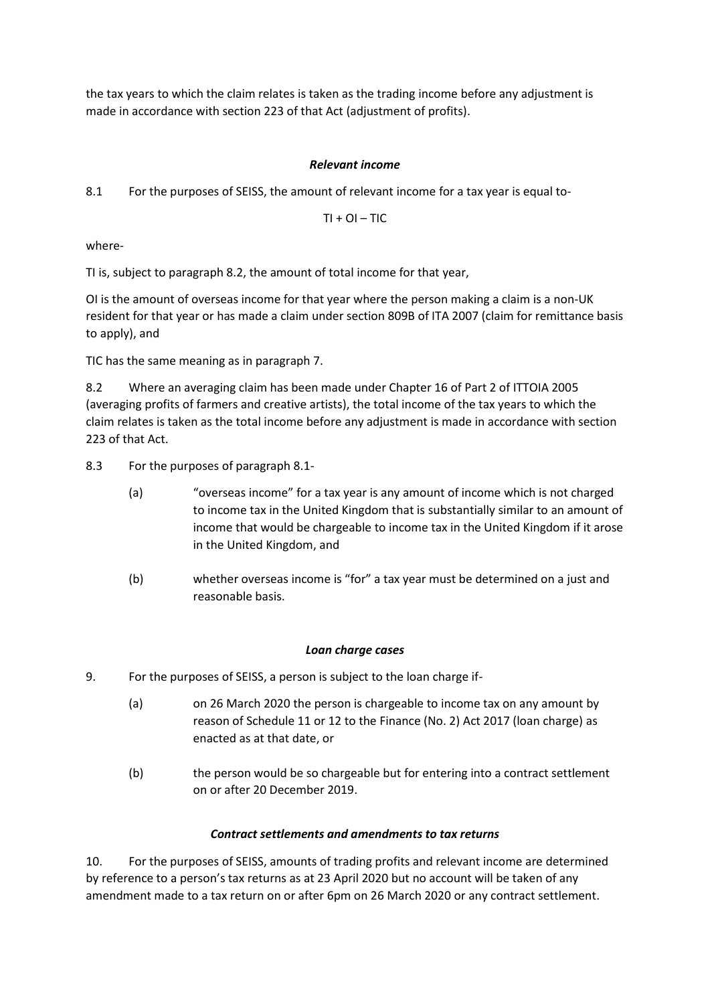the tax years to which the claim relates is taken as the trading income before any adjustment is made in accordance with section 223 of that Act (adjustment of profits).

# *Relevant income*

8.1 For the purposes of SEISS, the amount of relevant income for a tax year is equal to-

 $TI + OL - TIC$ 

where-

TI is, subject to paragraph 8.2, the amount of total income for that year,

OI is the amount of overseas income for that year where the person making a claim is a non-UK resident for that year or has made a claim under section 809B of ITA 2007 (claim for remittance basis to apply), and

TIC has the same meaning as in paragraph 7.

8.2 Where an averaging claim has been made under Chapter 16 of Part 2 of ITTOIA 2005 (averaging profits of farmers and creative artists), the total income of the tax years to which the claim relates is taken as the total income before any adjustment is made in accordance with section 223 of that Act.

- 8.3 For the purposes of paragraph 8.1-
	- (a) "overseas income" for a tax year is any amount of income which is not charged to income tax in the United Kingdom that is substantially similar to an amount of income that would be chargeable to income tax in the United Kingdom if it arose in the United Kingdom, and
	- (b) whether overseas income is "for" a tax year must be determined on a just and reasonable basis.

# *Loan charge cases*

- 9. For the purposes of SEISS, a person is subject to the loan charge if-
	- (a) on 26 March 2020 the person is chargeable to income tax on any amount by reason of Schedule 11 or 12 to the Finance (No. 2) Act 2017 (loan charge) as enacted as at that date, or
	- (b) the person would be so chargeable but for entering into a contract settlement on or after 20 December 2019.

# *Contract settlements and amendments to tax returns*

10. For the purposes of SEISS, amounts of trading profits and relevant income are determined by reference to a person's tax returns as at 23 April 2020 but no account will be taken of any amendment made to a tax return on or after 6pm on 26 March 2020 or any contract settlement.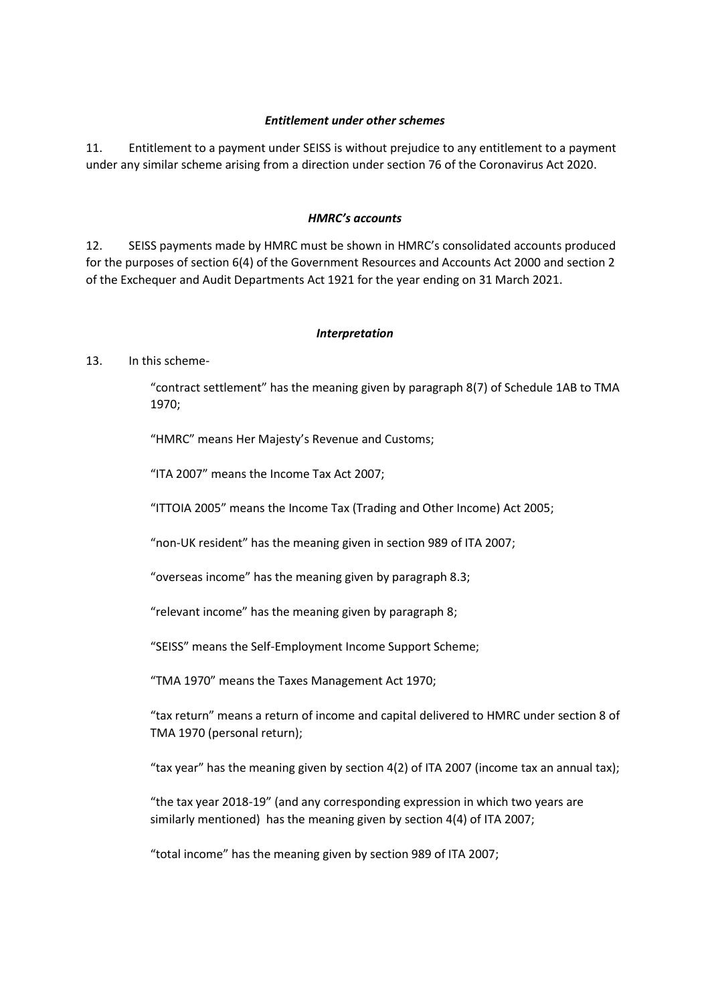## *Entitlement under other schemes*

11. Entitlement to a payment under SEISS is without prejudice to any entitlement to a payment under any similar scheme arising from a direction under section 76 of the Coronavirus Act 2020.

### *HMRC's accounts*

12. SEISS payments made by HMRC must be shown in HMRC's consolidated accounts produced for the purposes of section 6(4) of the Government Resources and Accounts Act 2000 and section 2 of the Exchequer and Audit Departments Act 1921 for the year ending on 31 March 2021.

## *Interpretation*

# 13. In this scheme-

"contract settlement" has the meaning given by paragraph 8(7) of Schedule 1AB to TMA 1970;

"HMRC" means Her Majesty's Revenue and Customs;

"ITA 2007" means the Income Tax Act 2007;

"ITTOIA 2005" means the Income Tax (Trading and Other Income) Act 2005;

"non-UK resident" has the meaning given in section 989 of ITA 2007;

"overseas income" has the meaning given by paragraph 8.3;

"relevant income" has the meaning given by paragraph 8;

"SEISS" means the Self-Employment Income Support Scheme;

"TMA 1970" means the Taxes Management Act 1970;

"tax return" means a return of income and capital delivered to HMRC under section 8 of TMA 1970 (personal return);

"tax year" has the meaning given by section 4(2) of ITA 2007 (income tax an annual tax);

"the tax year 2018-19" (and any corresponding expression in which two years are similarly mentioned) has the meaning given by section 4(4) of ITA 2007;

"total income" has the meaning given by section 989 of ITA 2007;